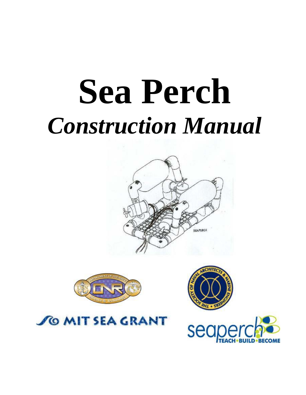# **Sea Perch** *Construction Manual*





**SO MIT SEA GRANT** 



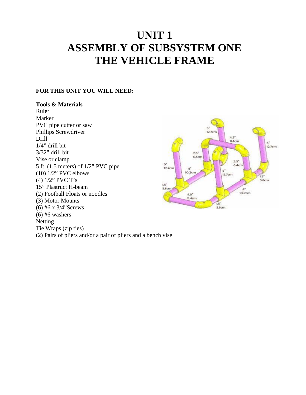# **UNIT 1 ASSEMBLY OF SUBSYSTEM ONE THE VEHICLE FRAME**

#### **FOR THIS UNIT YOU WILL NEED:**

#### **Tools & Materials**

Ruler Marker PVC pipe cutter or saw Phillips Screwdriver Drill 1/4" drill bit 3/32" drill bit Vise or clamp 5 ft. (1.5 meters) of 1/2" PVC pipe (10) 1/2" PVC elbows (4) 1/2" PVC T's 15" Plastruct H-beam (2) Football Floats or noodles (3) Motor Mounts (6) #6 x 3/4"Screws  $(6)$  #6 washers Netting Tie Wraps (zip ties) (2) Pairs of pliers and/or a pair of pliers and a bench vise

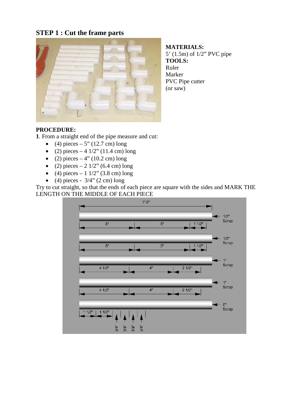# **STEP 1 : Cut the frame parts**



**MATERIALS:** 5' (1.5m) of 1/2" PVC pipe **TOOLS:** Ruler Marker PVC Pipe cutter (or saw)

#### **PROCEDURE:**

**1**. From a straight end of the pipe measure and cut:

- (4) pieces 5" (12.7 cm) long
- (2) pieces 4  $1/2$ " (11.4 cm) long
- (2) pieces 4" (10.2 cm) long
- (2) pieces 2  $1/2$ " (6.4 cm) long
- (4) pieces 1  $1/2$ " (3.8 cm) long
- (4) pieces  $3/4$ " (2 cm) long

Try to cut straight, so that the ends of each piece are square with the sides and MARK THE LENGTH ON THE MIDDLE OF EACH PIECE

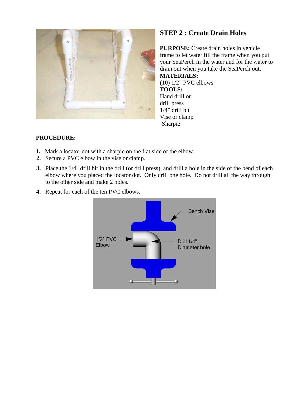

# **STEP 2 : Create Drain Holes**

**PURPOSE:** Create drain holes in vehicle frame to let water fill the frame when you put your SeaPerch in the water and for the water to drain out when you take the SeaPerch out. **MATERIALS:** (10) 1/2" PVC elbows **TOOLS:** Hand drill or drill press 1/4" drill bit Vise or clamp Sharpie

- **1.** Mark a locator dot with a sharpie on the flat side of the elbow.
- **2.** Secure a PVC elbow in the vise or clamp.
- **3.** Place the 1/4" drill bit in the drill (or drill press), and drill a hole in the side of the bend of each elbow where you placed the locator dot. Only drill one hole. Do not drill all the way through to the other side and make 2 holes.
- **4.** Repeat for each of the ten PVC elbows.

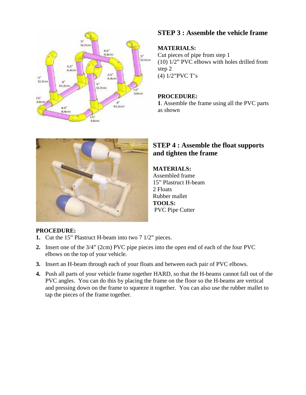

# **STEP 3 : Assemble the vehicle frame**

## **MATERIALS:**

Cut pieces of pipe from step 1 (10) 1/2" PVC elbows with holes drilled from step 2 (4) 1/2"PVC T's

## **PROCEDURE:**

**1**. Assemble the frame using all the PVC parts as shown



# **STEP 4 : Assemble the float supports and tighten the frame**

#### **MATERIALS:**

Assembled frame 15" Plastruct H-beam 2 Floats Rubber mallet **TOOLS:** PVC Pipe Cutter

- **1.** Cut the 15" Plastruct H-beam into two 7 1/2" pieces.
- **2.** Insert one of the 3/4" (2cm) PVC pipe pieces into the open end of each of the four PVC elbows on the top of your vehicle.
- **3.** Insert an H-beam through each of your floats and between each pair of PVC elbows.
- **4.** Push all parts of your vehicle frame together HARD, so that the H-beams cannot fall out of the PVC angles. You can do this by placing the frame on the floor so the H-beams are vertical and pressing down on the frame to squeeze it together. You can also use the rubber mallet to tap the pieces of the frame together.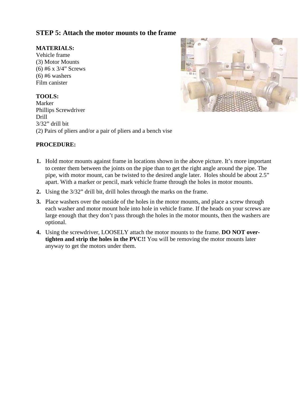# **STEP 5: Attach the motor mounts to the frame**

#### **MATERIALS:**

Vehicle frame (3) Motor Mounts (6) #6 x 3/4" Screws  $(6)$  #6 washers Film canister

#### **TOOLS:**

Marker Phillips Screwdriver Drill 3/32" drill bit (2) Pairs of pliers and/or a pair of pliers and a bench vise



- **1.** Hold motor mounts against frame in locations shown in the above picture. It's more important to center them between the joints on the pipe than to get the right angle around the pipe. The pipe, with motor mount, can be twisted to the desired angle later. Holes should be about 2.5" apart. With a marker or pencil, mark vehicle frame through the holes in motor mounts.
- **2.** Using the 3/32" drill bit, drill holes through the marks on the frame.
- **3.** Place washers over the outside of the holes in the motor mounts, and place a screw through each washer and motor mount hole into hole in vehicle frame. If the heads on your screws are large enough that they don't pass through the holes in the motor mounts, then the washers are optional.
- **4.** Using the screwdriver, LOOSELY attach the motor mounts to the frame. **DO NOT overtighten and strip the holes in the PVC!!** You will be removing the motor mounts later anyway to get the motors under them.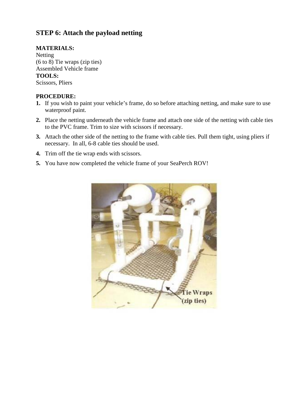# **STEP 6: Attach the payload netting**

#### **MATERIALS:**

Netting (6 to 8) Tie wraps (zip ties) Assembled Vehicle frame **TOOLS:** Scissors, Pliers

- **1.** If you wish to paint your vehicle's frame, do so before attaching netting, and make sure to use waterproof paint.
- **2.** Place the netting underneath the vehicle frame and attach one side of the netting with cable ties to the PVC frame. Trim to size with scissors if necessary.
- **3.** Attach the other side of the netting to the frame with cable ties. Pull them tight, using pliers if necessary. In all, 6-8 cable ties should be used.
- **4.** Trim off the tie wrap ends with scissors.
- **5.** You have now completed the vehicle frame of your SeaPerch ROV!

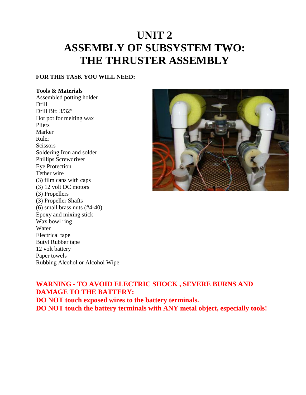# **UNIT 2 ASSEMBLY OF SUBSYSTEM TWO: THE THRUSTER ASSEMBLY**

#### **FOR THIS TASK YOU WILL NEED:**

#### **Tools & Materials**

Assembled potting holder Drill Drill Bit: 3/32" Hot pot for melting wax Pliers Marker Ruler **Scissors** Soldering Iron and solder Phillips Screwdriver Eye Protection Tether wire (3) film cans with caps (3) 12 volt DC motors (3) Propellers (3) Propeller Shafts (6) small brass nuts (#4-40) Epoxy and mixing stick Wax bowl ring Water Electrical tape Butyl Rubber tape 12 volt battery Paper towels Rubbing Alcohol or Alcohol Wipe



# **WARNING - TO AVOID ELECTRIC SHOCK , SEVERE BURNS AND DAMAGE TO THE BATTERY:**

**DO NOT touch exposed wires to the battery terminals. DO NOT touch the battery terminals with ANY metal object, especially tools!**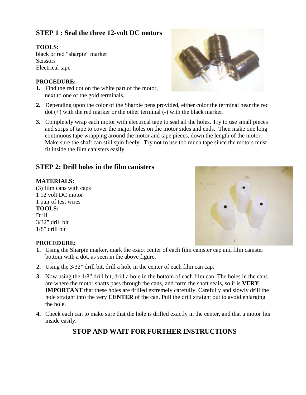# **STEP 1 : Seal the three 12-volt DC motors**

## **TOOLS:**

black or red "sharpie" marker **Scissors** Electrical tape

#### **PROCEDURE:**

- **1.** Find the red dot on the white part of the motor, next to one of the gold terminals.
- **2.** Depending upon the color of the Sharpie pens provided, either color the terminal near the red dot (+) with the red marker or the other terminal (-) with the black marker.
- **3.** Completely wrap each motor with electrical tape to seal all the holes. Try to use small pieces and strips of tape to cover the major holes on the motor sides and ends. Then make one long continuous tape wrapping around the motor and tape pieces, down the length of the motor. Make sure the shaft can still spin freely. Try not to use too much tape since the motors must fit inside the film canisters easily.

# **STEP 2: Drill holes in the film canisters**

#### **MATERIALS:**

(3) film cans with caps 1 12 volt DC motor 1 pair of test wires **TOOLS:** Drill 3/32" drill bit 1/8" drill bit



#### **PROCEDURE:**

- **1.** Using the Sharpie marker, mark the exact center of each film canister cap and film canister bottom with a dot, as seen in the above figure.
- **2.** Using the 3/32" drill bit, drill a hole in the center of each film can cap.
- **3.** Now using the 1/8" drill bit, drill a hole in the bottom of each film can. The holes in the cans are where the motor shafts pass through the cans, and form the shaft seals, so it is **VERY IMPORTANT** that these holes are drilled extremely carefully. Carefully and slowly drill the hole straight into the very **CENTER** of the can. Pull the drill straight out to avoid enlarging the hole.
- **4.** Check each can to make sure that the hole is drilled exactly in the center, and that a motor fits inside easily.

# **STOP AND WAIT FOR FURTHER INSTRUCTIONS**

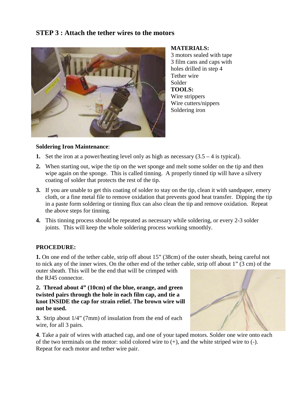# **STEP 3 : Attach the tether wires to the motors**



**MATERIALS:**

3 motors sealed with tape 3 film cans and caps with holes drilled in step 4 Tether wire Solder **TOOLS:** Wire strippers Wire cutters/nippers Soldering iron

#### **Soldering Iron Maintenance**:

- **1.** Set the iron at a power/heating level only as high as necessary  $(3.5 4$  is typical).
- **2.** When starting out, wipe the tip on the wet sponge and melt some solder on the tip and then wipe again on the sponge. This is called tinning. A properly tinned tip will have a silvery coating of solder that protects the rest of the tip.
- **3.** If you are unable to get this coating of solder to stay on the tip, clean it with sandpaper, emery cloth, or a fine metal file to remove oxidation that prevents good heat transfer. Dipping the tip in a paste form soldering or tinning flux can also clean the tip and remove oxidation. Repeat the above steps for tinning.
- **4.** This tinning process should be repeated as necessary while soldering, or every 2-3 solder joints. This will keep the whole soldering process working smoothly.

#### **PROCEDURE:**

**1.** On one end of the tether cable, strip off about 15" (38cm) of the outer sheath, being careful not to nick any of the inner wires. On the other end of the tether cable, strip off about 1" (3 cm) of the outer sheath. This will be the end that will be crimped with the RJ45 connector.

**2. Thread about 4" (10cm) of the blue, orange, and green twisted pairs through the hole in each film cap, and tie a knot INSIDE the cap for strain relief. The brown wire will not be used.**

**3.** Strip about 1/4" (7mm) of insulation from the end of each wire, for all 3 pairs.



**4**. Take a pair of wires with attached cap, and one of your taped motors. Solder one wire onto each of the two terminals on the motor: solid colored wire to (+), and the white striped wire to (-). Repeat for each motor and tether wire pair.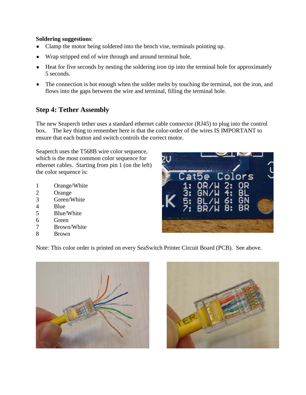#### **Soldering suggestions**:

- Clamp the motor being soldered into the bench vise, terminals pointing up.
- Wrap stripped end of wire through and around terminal hole.
- Heat for five seconds by nesting the soldering iron tip into the terminal hole for approximately 5 seconds.
- The connection is hot enough when the solder melts by touching the terminal, not the iron, and flows into the gaps between the wire and terminal, filling the terminal hole.

# **Step 4: Tether Assembly**

The new Seaperch tether uses a standard ethernet cable connector (RJ45) to plug into the control box. The key thing to remember here is that the color-order of the wires IS IMPORTANT to ensure that each button and switch controls the correct motor.

Seaperch uses the T568B wire color sequence, which is the most common color sequence for ethernet cables. Starting from pin 1 (on the left) the color sequence is:

- 1 Orange/White
- 2 Orange
- 3 Green/White
- 4 Blue
- 5 Blue/White
- 6 Green
- 7 Brown/White
- 8 Brown

Note: This color order is printed on every SeaSwitch Printer Circuit Board (PCB). See above.





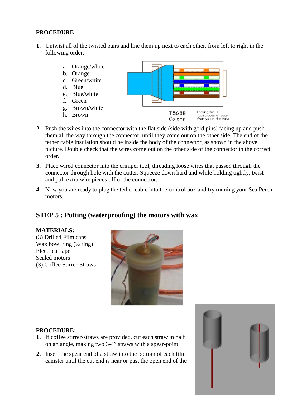#### **PROCEDURE**

**1.** Untwist all of the twisted pairs and line them up next to each other, from left to right in the following order:



- **2.** Push the wires into the connector with the flat side (side with gold pins) facing up and push them all the way through the connector, until they come out on the other side. The end of the tether cable insulation should be inside the body of the connector, as shown in the above picture. Double check that the wires come out on the other side of the connector in the correct order.
- **3.** Place wired connector into the crimper tool, threading loose wires that passed through the connector through hole with the cutter. Squeeze down hard and while holding tightly, twist and pull extra wire pieces off of the connector.
- **4.** Now you are ready to plug the tether cable into the control box and try running your Sea Perch motors.

# **STEP 5 : Potting (waterproofing) the motors with wax**

#### **MATERIALS:**

(3) Drilled Film cans Wax bowl ring  $(\frac{1}{2}$  ring) Electrical tape Sealed motors (3) Coffee Stirrer-Straws



- **1.** If coffee stirrer-straws are provided, cut each straw in half on an angle, making two 3-4" straws with a spear-point.
- **2.** Insert the spear end of a straw into the bottom of each film canister until the cut end is near or past the open end of the

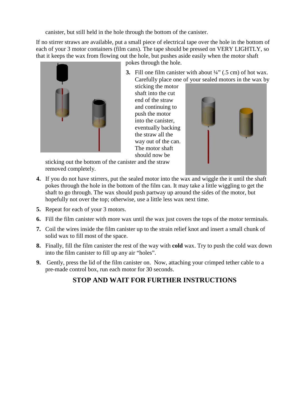canister, but still held in the hole through the bottom of the canister.

If no stirrer straws are available, put a small piece of electrical tape over the hole in the bottom of each of your 3 motor containers (film cans). The tape should be pressed on VERY LIGHTLY, so that it keeps the wax from flowing out the hole, but pushes aside easily when the motor shaft



pokes through the hole.

**3.** Fill one film canister with about  $\frac{1}{4}$  (.5 cm) of hot wax. Carefully place one of your sealed motors in the wax by

sticking the motor shaft into the cut end of the straw and continuing to push the motor into the canister, eventually backing the straw all the way out of the can. The motor shaft should now be



sticking out the bottom of the canister and the straw removed completely.

- **4.** If you do not have stirrers, put the sealed motor into the wax and wiggle the it until the shaft pokes through the hole in the bottom of the film can. It may take a little wiggling to get the shaft to go through. The wax should push partway up around the sides of the motor, but hopefully not over the top; otherwise, use a little less wax next time.
- **5.** Repeat for each of your 3 motors.
- **6.** Fill the film canister with more wax until the wax just covers the tops of the motor terminals.
- **7.** Coil the wires inside the film canister up to the strain relief knot and insert a small chunk of solid wax to fill most of the space.
- **8.** Finally, fill the film canister the rest of the way with **cold** wax. Try to push the cold wax down into the film canister to fill up any air "holes".
- **9.** Gently, press the lid of the film canister on. Now, attaching your crimped tether cable to a pre-made control box, run each motor for 30 seconds.

# **STOP AND WAIT FOR FURTHER INSTRUCTIONS**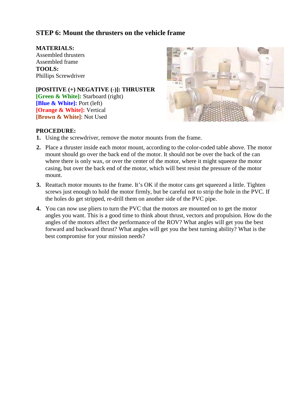# **STEP 6: Mount the thrusters on the vehicle frame**

**MATERIALS:** Assembled thrusters Assembled frame **TOOLS:** Phillips Screwdriver

**[POSITIVE (+) NEGATIVE (-)]: THRUSTER [Green & White]:** Starboard (right) **[Blue & White]:** Port (left) **[Orange & White]:** Vertical **[Brown & White]**: Not Used



- **1.** Using the screwdriver, remove the motor mounts from the frame.
- **2.** Place a thruster inside each motor mount, according to the color-coded table above. The motor mount should go over the back end of the motor. It should not be over the back of the can where there is only wax, or over the center of the motor, where it might squeeze the motor casing, but over the back end of the motor, which will best resist the pressure of the motor mount.
- **3.** Reattach motor mounts to the frame. It's OK if the motor cans get squeezed a little. Tighten screws just enough to hold the motor firmly, but be careful not to strip the hole in the PVC. If the holes do get stripped, re-drill them on another side of the PVC pipe.
- **4.** You can now use pliers to turn the PVC that the motors are mounted on to get the motor angles you want. This is a good time to think about thrust, vectors and propulsion. How do the angles of the motors affect the performance of the ROV? What angles will get you the best forward and backward thrust? What angles will get you the best turning ability? What is the best compromise for your mission needs?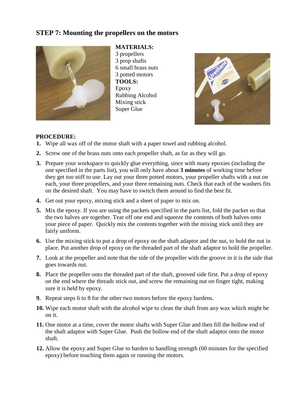# **STEP 7: Mounting the propellers on the motors**



**MATERIALS:** 3 propellers 3 prop shafts 6 small brass nuts 3 potted motors **TOOLS:** Epoxy Rubbing Alcohol Mixing stick Super Glue



- **1.** Wipe all wax off of the motor shaft with a paper towel and rubbing alcohol.
- **2.** Screw one of the brass nuts onto each propeller shaft, as far as they will go.
- **3.** Prepare your workspace to quickly glue everything, since with many epoxies (including the one specified in the parts list), you will only have about **3 minutes** of working time before they get too stiff to use. Lay out your three potted motors, your propeller shafts with a nut on each, your three propellers, and your three remaining nuts. Check that each of the washers fits on the desired shaft. You may have to switch them around to find the best fit.
- **4.** Get out your epoxy, mixing stick and a sheet of paper to mix on.
- **5.** Mix the epoxy. If you are using the packets specified in the parts list, fold the packet so that the two halves are together. Tear off one end and squeeze the contents of both halves onto your piece of paper. Quickly mix the contents together with the mixing stick until they are fairly uniform.
- **6.** Use the mixing stick to put a drop of epoxy on the shaft adaptor and the nut, to hold the nut in place. Put another drop of epoxy on the threaded part of the shaft adaptor to hold the propeller.
- **7.** Look at the propeller and note that the side of the propeller with the groove in it is the side that goes towards nut.
- **8.** Place the propeller onto the threaded part of the shaft, grooved side first. Put a drop of epoxy on the end where the threads stick out, and screw the remaining nut on finger tight, making sure it is held by epoxy.
- **9.** Repeat steps 6 to 8 for the other two motors before the epoxy hardens.
- **10.** Wipe each motor shaft with the alcohol wipe to clean the shaft from any wax which might be on it.
- **11.** One motor at a time, cover the motor shafts with Super Glue and then fill the hollow end of the shaft adaptor with Super Glue. Push the hollow end of the shaft adaptor onto the motor shaft.
- **12.** Allow the epoxy and Super Glue to harden to handling strength (60 minutes for the specified epoxy) before touching them again or running the motors.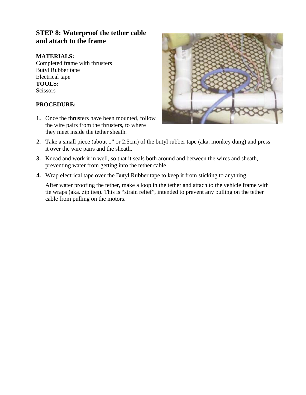# **STEP 8: Waterproof the tether cable and attach to the frame**

## **MATERIALS:**

Completed frame with thrusters Butyl Rubber tape Electrical tape **TOOLS: Scissors** 

#### **PROCEDURE:**

**1.** Once the thrusters have been mounted, follow the wire pairs from the thrusters, to where they meet inside the tether sheath.



- **2.** Take a small piece (about 1" or 2.5cm) of the butyl rubber tape (aka. monkey dung) and press it over the wire pairs and the sheath.
- **3.** Knead and work it in well, so that it seals both around and between the wires and sheath, preventing water from getting into the tether cable.
- **4.** Wrap electrical tape over the Butyl Rubber tape to keep it from sticking to anything.

After water proofing the tether, make a loop in the tether and attach to the vehicle frame with tie wraps (aka. zip ties). This is "strain relief", intended to prevent any pulling on the tether cable from pulling on the motors.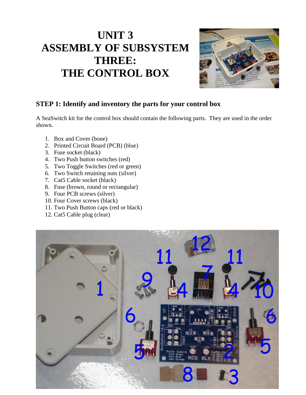# **UNIT 3 ASSEMBLY OF SUBSYSTEM THREE: THE CONTROL BOX**



# **STEP 1: Identify and inventory the parts for your control box**

A SeaSwitch kit for the control box should contain the following parts. They are used in the order shown.

- 1. Box and Cover (bone)
- 2. Printed Circuit Board (PCB) (blue)
- 3. Fuse socket (black)
- 4. Two Push button switches (red)
- 5. Two Toggle Switches (red or green)
- 6. Two Switch retaining nuts (silver)
- 7. Cat5 Cable socket (black)
- 8. Fuse (brown, round or rectangular)
- 9. Four PCB screws (silver)
- 10. Four Cover screws (black)
- 11. Two Push Button caps (red or black)
- 12. Cat5 Cable plug (clear)

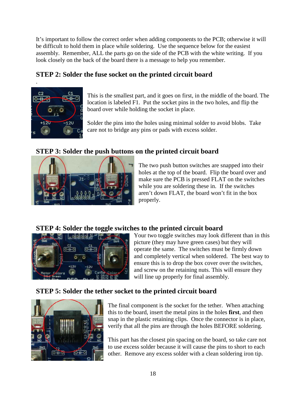It's important to follow the correct order when adding components to the PCB; otherwise it will be difficult to hold them in place while soldering. Use the sequence below for the easiest assembly. Remember, ALL the parts go on the side of the PCB with the white writing. If you look closely on the back of the board there is a message to help you remember.

# **STEP 2: Solder the fuse socket on the printed circuit board**



.

This is the smallest part, and it goes on first, in the middle of the board. The location is labeled F1. Put the socket pins in the two holes, and flip the board over while holding the socket in place.

Solder the pins into the holes using minimal solder to avoid blobs. Take care not to bridge any pins or pads with excess solder.

# **STEP 3: Solder the push buttons on the printed circuit board**



The two push button switches are snapped into their holes at the top of the board. Flip the board over and make sure the PCB is pressed FLAT on the switches while you are soldering these in. If the switches aren't down FLAT, the board won't fit in the box properly.

# **STEP 4: Solder the toggle switches to the printed circuit board**



Your two toggle switches may look different than in this picture (they may have green cases) but they will operate the same. The switches must be firmly down and completely vertical when soldered. The best way to ensure this is to drop the box cover over the switches, and screw on the retaining nuts. This will ensure they will line up properly for final assembly.

# **STEP 5: Solder the tether socket to the printed circuit board**



The final component is the socket for the tether. When attaching this to the board, insert the metal pins in the holes **first**, and then snap in the plastic retaining clips. Once the connector is in place, verify that all the pins are through the holes BEFORE soldering.

This part has the closest pin spacing on the board, so take care not to use excess solder because it will cause the pins to short to each other. Remove any excess solder with a clean soldering iron tip.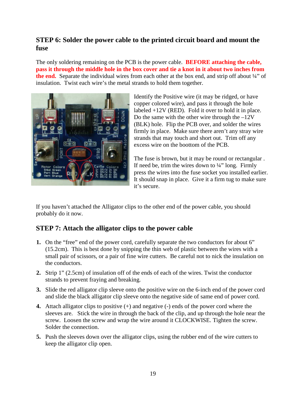# **STEP 6: Solder the power cable to the printed circuit board and mount the fuse**

The only soldering remaining on the PCB is the power cable. **BEFORE attaching the cable, pass it through the middle hole in the box cover and tie a knot in it about two inches from**  the end. Separate the individual wires from each other at the box end, and strip off about 1/4" of insulation. Twist each wire's the metal strands to hold them together.



Identify the Positive wire (it may be ridged, or have copper colored wire), and pass it through the hole labeled  $+12V$  (RED). Fold it over to hold it in place. Do the same with the other wire through the –12V (BLK) hole. Flip the PCB over, and solder the wires firmly in place. Make sure there aren't any stray wire strands that may touch and short out. Trim off any excess wire on the boottom of the PCB.

The fuse is brown, but it may be round or rectangular . If need be, trim the wires down to  $\frac{1}{4}$ " long. Firmly press the wires into the fuse socket you installed earlier. It should snap in place. Give it a firm tug to make sure it's secure.

If you haven't attached the Alligator clips to the other end of the power cable, you should probably do it now.

# **STEP 7: Attach the alligator clips to the power cable**

- **1.** On the "free" end of the power cord, carefully separate the two conductors for about 6" (15.2cm). This is best done by snipping the thin web of plastic between the wires with a small pair of scissors, or a pair of fine wire cutters. Be careful not to nick the insulation on the conductors.
- **2.** Strip 1" (2.5cm) of insulation off of the ends of each of the wires. Twist the conductor strands to prevent fraying and breaking.
- **3.** Slide the red alligator clip sleeve onto the positive wire on the 6-inch end of the power cord and slide the black alligator clip sleeve onto the negative side of same end of power cord.
- **4.** Attach alligator clips to positive (+) and negative (-) ends of the power cord where the sleeves are. Stick the wire in through the back of the clip, and up through the hole near the screw. Loosen the screw and wrap the wire around it CLOCKWISE. Tighten the screw. Solder the connection.
- **5.** Push the sleeves down over the alligator clips, using the rubber end of the wire cutters to keep the alligator clip open.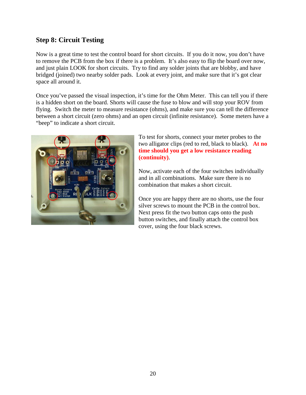# **Step 8: Circuit Testing**

Now is a great time to test the control board for short circuits. If you do it now, you don't have to remove the PCB from the box if there is a problem. It's also easy to flip the board over now, and just plain LOOK for short circuits. Try to find any solder joints that are blobby, and have bridged (joined) two nearby solder pads. Look at every joint, and make sure that it's got clear space all around it.

Once you've passed the visual inspection, it's time for the Ohm Meter. This can tell you if there is a hidden short on the board. Shorts will cause the fuse to blow and will stop your ROV from flying. Switch the meter to measure resistance (ohms), and make sure you can tell the difference between a short circuit (zero ohms) and an open circuit (infinite resistance). Some meters have a "beep" to indicate a short circuit.



To test for shorts, connect your meter probes to the two alligator clips (red to red, black to black). **At no time should you get a low resistance reading (continuity)**.

Now, activate each of the four switches individually and in all combinations. Make sure there is no combination that makes a short circuit.

Once you are happy there are no shorts, use the four silver screws to mount the PCB in the control box. Next press fit the two button caps onto the push button switches, and finally attach the control box cover, using the four black screws.